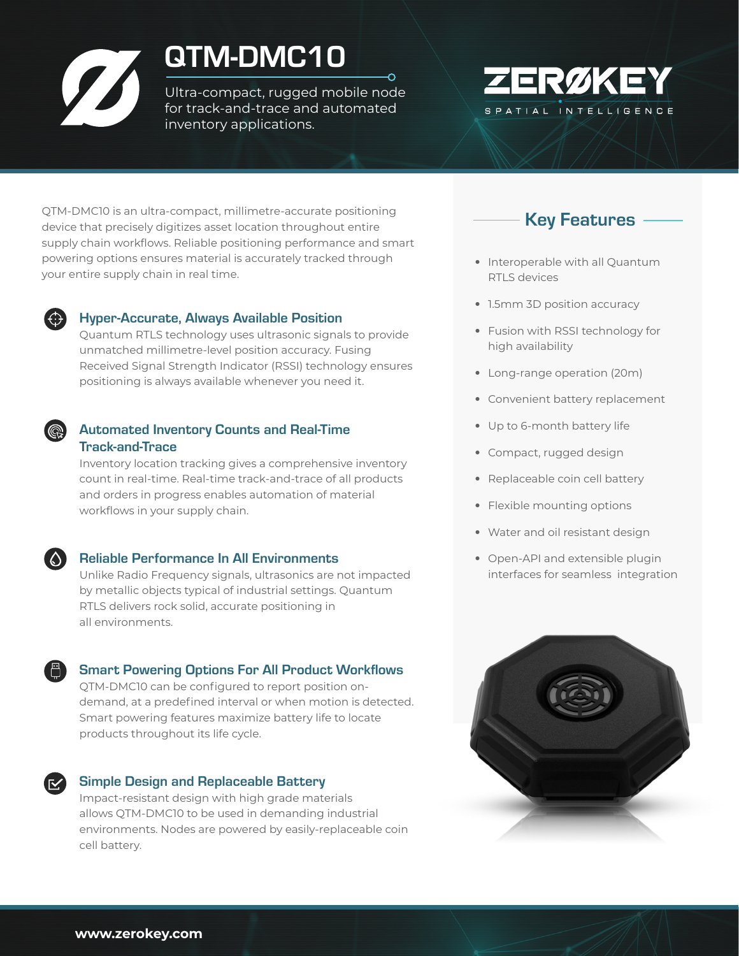# QTM-DMC10

Ultra-compact, rugged mobile node for track-and-trace and automated inventory applications.



QTM-DMC10 is an ultra-compact, millimetre-accurate positioning device that precisely digitizes asset location throughout entire supply chain workflows. Reliable positioning performance and smart powering options ensures material is accurately tracked through your entire supply chain in real time.



#### Hyper-Accurate, Always Available Position

Quantum RTLS technology uses ultrasonic signals to provide unmatched millimetre-level position accuracy. Fusing Received Signal Strength Indicator (RSSI) technology ensures positioning is always available whenever you need it.

#### Automated Inventory Counts and Real-Time Track-and-Trace

Inventory location tracking gives a comprehensive inventory count in real-time. Real-time track-and-trace of all products and orders in progress enables automation of material workflows in your supply chain.

## Reliable Performance In All Environments

Unlike Radio Frequency signals, ultrasonics are not impacted by metallic objects typical of industrial settings. Quantum RTLS delivers rock solid, accurate positioning in all environments.

## Smart Powering Options For All Product Workflows

QTM-DMC10 can be configured to report position ondemand, at a predefined interval or when motion is detected. Smart powering features maximize battery life to locate products throughout its life cycle.

## Simple Design and Replaceable Battery

Impact-resistant design with high grade materials allows QTM-DMC10 to be used in demanding industrial environments. Nodes are powered by easily-replaceable coin cell battery.



- Interoperable with all Quantum RTLS devices
- 1.5mm 3D position accuracy
- Fusion with RSSI technology for high availability
- Long-range operation (20m)
- Convenient battery replacement
- Up to 6-month battery life
- Compact, rugged design
- Replaceable coin cell battery
- Flexible mounting options
- Water and oil resistant design
- Open-API and extensible plugin interfaces for seamless integration